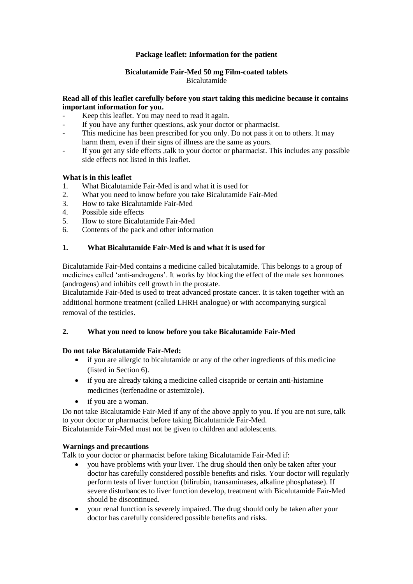## **Package leaflet: Information for the patient**

### **Bicalutamide Fair-Med 50 mg Film-coated tablets** Bicalutamide

## **Read all of this leaflet carefully before you start taking this medicine because it contains important information for you.**

- Keep this leaflet. You may need to read it again.
- If you have any further questions, ask your doctor or pharmacist.
- This medicine has been prescribed for you only. Do not pass it on to others. It may harm them, even if their signs of illness are the same as yours.
- If you get any side effects ,talk to your doctor or pharmacist. This includes any possible side effects not listed in this leaflet.

### **What is in this leaflet**

- 1. What Bicalutamide Fair-Med is and what it is used for
- 2. What you need to know before you take Bicalutamide Fair-Med
- 3. How to take Bicalutamide Fair-Med
- 4. Possible side effects
- 5. How to store Bicalutamide Fair-Med
- 6. Contents of the pack and other information

## **1. What Bicalutamide Fair-Med is and what it is used for**

Bicalutamide Fair-Med contains a medicine called bicalutamide. This belongs to a group of medicines called 'anti-androgens'. It works by blocking the effect of the male sex hormones (androgens) and inhibits cell growth in the prostate.

Bicalutamide Fair-Med is used to treat advanced prostate cancer. It is taken together with an additional hormone treatment (called LHRH analogue) or with accompanying surgical removal of the testicles.

### **2. What you need to know before you take Bicalutamide Fair-Med**

### **Do not take Bicalutamide Fair-Med:**

- if you are allergic to bicalutamide or any of the other ingredients of this medicine (listed in Section 6).
- if you are already taking a medicine called cisapride or certain anti-histamine medicines (terfenadine or astemizole).
- if you are a woman.

Do not take Bicalutamide Fair-Med if any of the above apply to you. If you are not sure, talk to your doctor or pharmacist before taking Bicalutamide Fair-Med. Bicalutamide Fair-Med must not be given to children and adolescents.

### **Warnings and precautions**

Talk to your doctor or pharmacist before taking Bicalutamide Fair-Med if:

- you have problems with your liver. The drug should then only be taken after your doctor has carefully considered possible benefits and risks. Your doctor will regularly perform tests of liver function (bilirubin, transaminases, alkaline phosphatase). If severe disturbances to liver function develop, treatment with Bicalutamide Fair-Med should be discontinued.
- your renal function is severely impaired. The drug should only be taken after your doctor has carefully considered possible benefits and risks.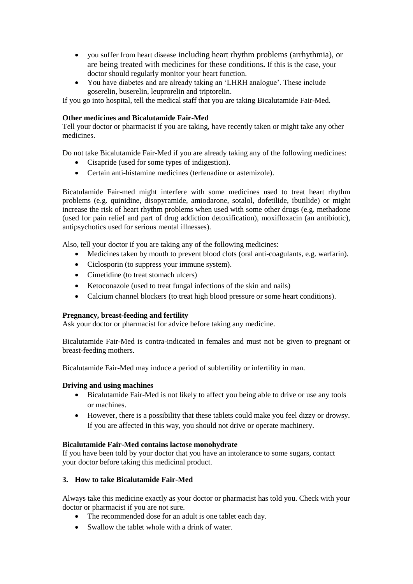- you suffer from heart disease including heart rhythm problems (arrhythmia), or are being treated with medicines for these conditions**.** If this is the case, your doctor should regularly monitor your heart function.
- You have diabetes and are already taking an 'LHRH analogue'. These include goserelin, buserelin, leuprorelin and triptorelin.

If you go into hospital, tell the medical staff that you are taking Bicalutamide Fair-Med.

## **Other medicines and Bicalutamide Fair-Med**

Tell your doctor or pharmacist if you are taking, have recently taken or might take any other medicines.

Do not take Bicalutamide Fair-Med if you are already taking any of the following medicines:

- Cisapride (used for some types of indigestion).
- Certain anti-histamine medicines (terfenadine or astemizole).

Bicatulamide Fair-med might interfere with some medicines used to treat heart rhythm problems (e.g. quinidine, disopyramide, amiodarone, sotalol, dofetilide, ibutilide) or might increase the risk of heart rhythm problems when used with some other drugs (e.g. methadone (used for pain relief and part of drug addiction detoxification), moxifloxacin (an antibiotic), antipsychotics used for serious mental illnesses).

Also, tell your doctor if you are taking any of the following medicines:

- Medicines taken by mouth to prevent blood clots (oral anti-coagulants, e.g. warfarin).
- Ciclosporin (to suppress your immune system).
- Cimetidine (to treat stomach ulcers)
- Ketoconazole (used to treat fungal infections of the skin and nails)
- Calcium channel blockers (to treat high blood pressure or some heart conditions).

### **Pregnancy, breast-feeding and fertility**

Ask your doctor or pharmacist for advice before taking any medicine.

Bicalutamide Fair-Med is contra-indicated in females and must not be given to pregnant or breast-feeding mothers.

Bicalutamide Fair-Med may induce a period of subfertility or infertility in man.

### **Driving and using machines**

- Bicalutamide Fair-Med is not likely to affect you being able to drive or use any tools or machines.
- However, there is a possibility that these tablets could make you feel dizzy or drowsy. If you are affected in this way, you should not drive or operate machinery.

### **Bicalutamide Fair-Med contains lactose monohydrate**

If you have been told by your doctor that you have an intolerance to some sugars, contact your doctor before taking this medicinal product.

### **3. How to take Bicalutamide Fair-Med**

Always take this medicine exactly as your doctor or pharmacist has told you. Check with your doctor or pharmacist if you are not sure.

- The recommended dose for an adult is one tablet each day.
- Swallow the tablet whole with a drink of water.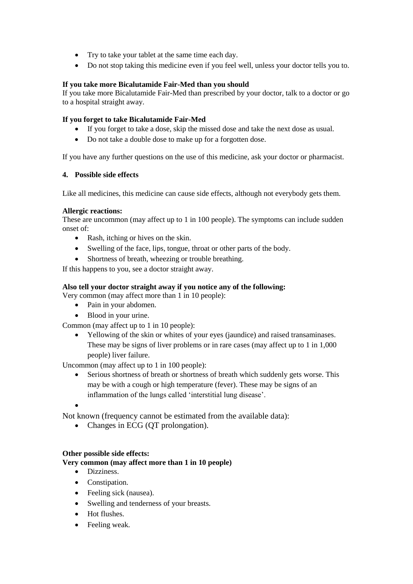- Try to take your tablet at the same time each day.
- Do not stop taking this medicine even if you feel well, unless your doctor tells you to.

# **If you take more Bicalutamide Fair-Med than you should**

If you take more Bicalutamide Fair-Med than prescribed by your doctor, talk to a doctor or go to a hospital straight away.

# **If you forget to take Bicalutamide Fair-Med**

- If you forget to take a dose, skip the missed dose and take the next dose as usual.
- Do not take a double dose to make up for a forgotten dose.

If you have any further questions on the use of this medicine, ask your doctor or pharmacist.

# **4. Possible side effects**

Like all medicines, this medicine can cause side effects, although not everybody gets them.

# **Allergic reactions:**

These are uncommon (may affect up to 1 in 100 people). The symptoms can include sudden onset of:

- Rash, itching or hives on the skin.
- Swelling of the face, lips, tongue, throat or other parts of the body.
- Shortness of breath, wheezing or trouble breathing.

If this happens to you, see a doctor straight away.

# **Also tell your doctor straight away if you notice any of the following:**

Very common (may affect more than 1 in 10 people):

- Pain in your abdomen.
- Blood in your urine.

Common (may affect up to 1 in 10 people):

 Yellowing of the skin or whites of your eyes (jaundice) and raised transaminases. These may be signs of liver problems or in rare cases (may affect up to 1 in 1,000 people) liver failure.

Uncommon (may affect up to 1 in 100 people):

- Serious shortness of breath or shortness of breath which suddenly gets worse. This may be with a cough or high temperature (fever). These may be signs of an inflammation of the lungs called 'interstitial lung disease'.
- $\bullet$

Not known (frequency cannot be estimated from the available data):

• Changes in ECG (QT prolongation).

# **Other possible side effects:**

**Very common (may affect more than 1 in 10 people)**

- Dizziness.
- Constipation.
- Feeling sick (nausea).
- Swelling and tenderness of your breasts.
- Hot flushes.
- Feeling weak.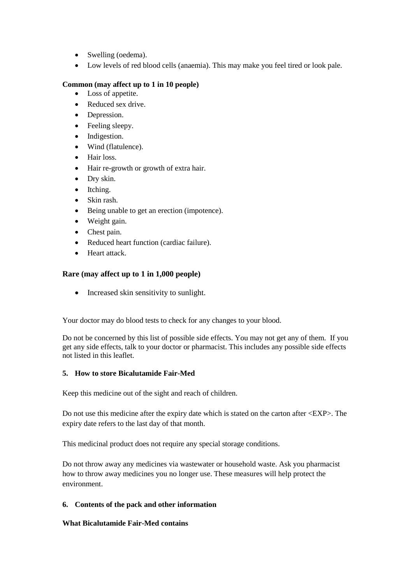- Swelling (oedema).
- Low levels of red blood cells (anaemia). This may make you feel tired or look pale.

### **Common (may affect up to 1 in 10 people)**

- Loss of appetite.
- Reduced sex drive.
- Depression.
- Feeling sleepy.
- Indigestion.
- Wind (flatulence).
- Hair loss.
- Hair re-growth or growth of extra hair.
- Dry skin.
- Itching.
- Skin rash.
- Being unable to get an erection (impotence).
- Weight gain.
- Chest pain.
- Reduced heart function (cardiac failure).
- Heart attack.

# **Rare (may affect up to 1 in 1,000 people)**

Increased skin sensitivity to sunlight.

Your doctor may do blood tests to check for any changes to your blood.

Do not be concerned by this list of possible side effects. You may not get any of them. If you get any side effects, talk to your doctor or pharmacist. This includes any possible side effects not listed in this leaflet.

# **5. How to store Bicalutamide Fair-Med**

Keep this medicine out of the sight and reach of children.

Do not use this medicine after the expiry date which is stated on the carton after <EXP>. The expiry date refers to the last day of that month.

This medicinal product does not require any special storage conditions.

Do not throw away any medicines via wastewater or household waste. Ask you pharmacist how to throw away medicines you no longer use. These measures will help protect the environment.

# **6. Contents of the pack and other information**

### **What Bicalutamide Fair-Med contains**